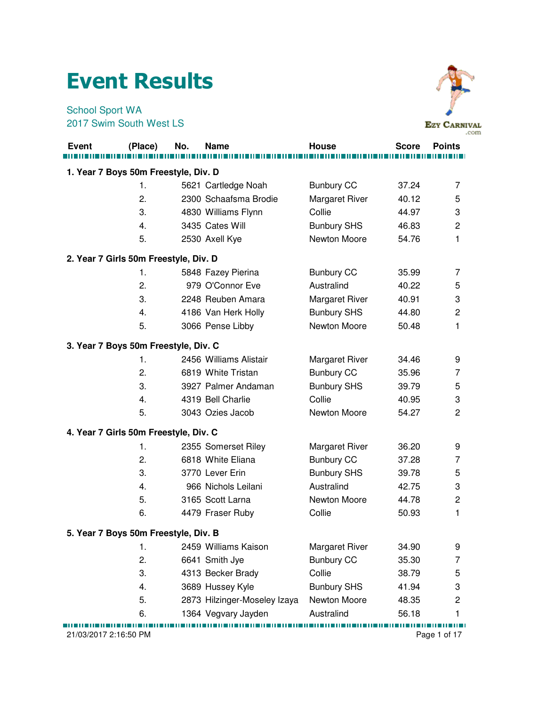## Event Results

School Sport WA 2017 Swim South West LS



|              |                                       |     |                              |                       |              | .com           |
|--------------|---------------------------------------|-----|------------------------------|-----------------------|--------------|----------------|
| <b>Event</b> | (Place)                               | No. | <b>Name</b>                  | House                 | <b>Score</b> | <b>Points</b>  |
|              |                                       |     |                              |                       |              |                |
|              | 1. Year 7 Boys 50m Freestyle, Div. D  |     |                              |                       |              |                |
|              | 1.                                    |     | 5621 Cartledge Noah          | <b>Bunbury CC</b>     | 37.24        | $\overline{7}$ |
|              | 2.                                    |     | 2300 Schaafsma Brodie        | Margaret River        | 40.12        | 5              |
|              | 3.                                    |     | 4830 Williams Flynn          | Collie                | 44.97        | 3              |
|              | 4.                                    |     | 3435 Cates Will              | <b>Bunbury SHS</b>    | 46.83        | 2              |
|              | 5.                                    |     | 2530 Axell Kye               | Newton Moore          | 54.76        | 1              |
|              | 2. Year 7 Girls 50m Freestyle, Div. D |     |                              |                       |              |                |
|              | 1.                                    |     | 5848 Fazey Pierina           | <b>Bunbury CC</b>     | 35.99        | 7              |
|              | 2.                                    |     | 979 O'Connor Eve             | Australind            | 40.22        | 5              |
|              | 3.                                    |     | 2248 Reuben Amara            | Margaret River        | 40.91        | 3              |
|              | 4.                                    |     | 4186 Van Herk Holly          | <b>Bunbury SHS</b>    | 44.80        | $\overline{c}$ |
|              | 5.                                    |     | 3066 Pense Libby             | Newton Moore          | 50.48        | 1              |
|              | 3. Year 7 Boys 50m Freestyle, Div. C  |     |                              |                       |              |                |
|              | 1.                                    |     | 2456 Williams Alistair       | <b>Margaret River</b> | 34.46        | 9              |
|              | 2.                                    |     | 6819 White Tristan           | <b>Bunbury CC</b>     | 35.96        | 7              |
|              | 3.                                    |     | 3927 Palmer Andaman          | <b>Bunbury SHS</b>    | 39.79        | 5              |
|              | 4.                                    |     | 4319 Bell Charlie            | Collie                | 40.95        | 3              |
|              | 5.                                    |     | 3043 Ozies Jacob             | Newton Moore          | 54.27        | 2              |
|              | 4. Year 7 Girls 50m Freestyle, Div. C |     |                              |                       |              |                |
|              | 1.                                    |     | 2355 Somerset Riley          | <b>Margaret River</b> | 36.20        | 9              |
|              | 2.                                    |     | 6818 White Eliana            | <b>Bunbury CC</b>     | 37.28        | $\overline{7}$ |
|              | 3.                                    |     | 3770 Lever Erin              | <b>Bunbury SHS</b>    | 39.78        | 5              |
|              | 4.                                    |     | 966 Nichols Leilani          | Australind            | 42.75        | 3              |
|              | 5.                                    |     | 3165 Scott Larna             | Newton Moore          | 44.78        | $\overline{c}$ |
|              | 6.                                    |     | 4479 Fraser Ruby             | Collie                | 50.93        | 1              |
|              | 5. Year 7 Boys 50m Freestyle, Div. B  |     |                              |                       |              |                |
|              | 1.                                    |     | 2459 Williams Kaison         | <b>Margaret River</b> | 34.90        | 9              |
|              | 2.                                    |     | 6641 Smith Jye               | <b>Bunbury CC</b>     | 35.30        | 7              |
|              | 3.                                    |     | 4313 Becker Brady            | Collie                | 38.79        | 5              |
|              | 4.                                    |     | 3689 Hussey Kyle             | <b>Bunbury SHS</b>    | 41.94        | 3              |
|              | 5.                                    |     | 2873 Hilzinger-Moseley Izaya | Newton Moore          | 48.35        | $\overline{c}$ |
|              | 6.                                    |     | 1364 Vegvary Jayden          | Australind            | 56.18        | 1              |

21/03/2017 2:16:50 PM Page 1 of 17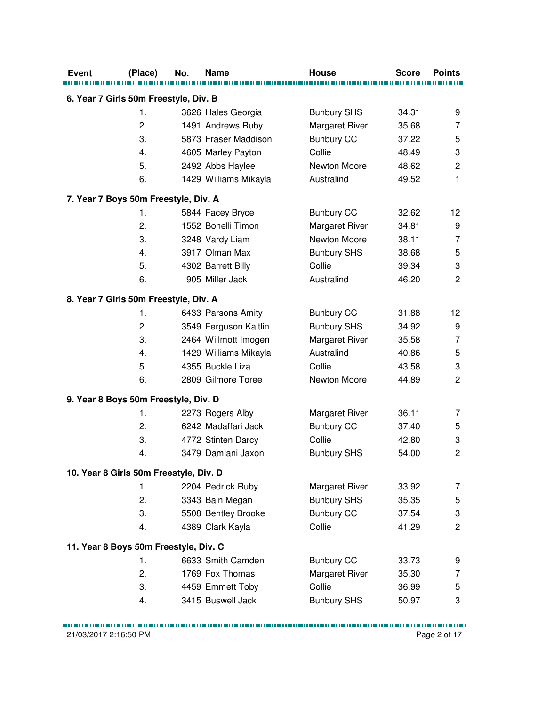| 6. Year 7 Girls 50m Freestyle, Div. B<br>3626 Hales Georgia<br><b>Bunbury SHS</b><br>34.31<br>1.<br>2.<br>Margaret River<br>1491 Andrews Ruby<br>35.68 | 9<br>7<br>5<br>$\ensuremath{\mathsf{3}}$<br>$\overline{c}$<br>1 |
|--------------------------------------------------------------------------------------------------------------------------------------------------------|-----------------------------------------------------------------|
|                                                                                                                                                        |                                                                 |
|                                                                                                                                                        |                                                                 |
|                                                                                                                                                        |                                                                 |
| 3.<br>5873 Fraser Maddison<br><b>Bunbury CC</b><br>37.22                                                                                               |                                                                 |
| Collie<br>48.49<br>4.<br>4605 Marley Payton                                                                                                            |                                                                 |
| 5.<br>2492 Abbs Haylee<br>Newton Moore<br>48.62                                                                                                        |                                                                 |
| 6.<br>1429 Williams Mikayla<br>Australind<br>49.52                                                                                                     |                                                                 |
| 7. Year 7 Boys 50m Freestyle, Div. A                                                                                                                   |                                                                 |
| 1.<br>32.62                                                                                                                                            | 12                                                              |
| 5844 Facey Bryce<br><b>Bunbury CC</b><br>2.<br>1552 Bonelli Timon<br>34.81                                                                             |                                                                 |
| Margaret River<br>3.<br>Newton Moore<br>38.11                                                                                                          | 9<br>$\overline{7}$                                             |
| 3248 Vardy Liam<br>3917 Olman Max<br>4.<br><b>Bunbury SHS</b><br>38.68                                                                                 | 5                                                               |
| 5.<br>Collie                                                                                                                                           | 3                                                               |
| 4302 Barrett Billy<br>39.34<br>905 Miller Jack<br>Australind                                                                                           | $\overline{c}$                                                  |
| 6.<br>46.20                                                                                                                                            |                                                                 |
| 8. Year 7 Girls 50m Freestyle, Div. A                                                                                                                  |                                                                 |
| 6433 Parsons Amity<br><b>Bunbury CC</b><br>31.88<br>1.                                                                                                 | 12                                                              |
| <b>Bunbury SHS</b><br>2.<br>3549 Ferguson Kaitlin<br>34.92                                                                                             | 9                                                               |
| 3.<br>Margaret River<br>2464 Willmott Imogen<br>35.58                                                                                                  | $\overline{7}$                                                  |
| Australind<br>4.<br>1429 Williams Mikayla<br>40.86                                                                                                     | 5                                                               |
| 5.<br>4355 Buckle Liza<br>Collie<br>43.58                                                                                                              | 3                                                               |
| 2809 Gilmore Toree<br>Newton Moore<br>6.<br>44.89                                                                                                      | $\overline{c}$                                                  |
| 9. Year 8 Boys 50m Freestyle, Div. D                                                                                                                   |                                                                 |
| 2273 Rogers Alby<br>Margaret River<br>36.11<br>1.                                                                                                      | 7                                                               |
| 2.<br>6242 Madaffari Jack<br><b>Bunbury CC</b><br>37.40                                                                                                | 5                                                               |
| 4772 Stinten Darcy<br>Collie<br>3.<br>42.80                                                                                                            | 3                                                               |
| 3479 Damiani Jaxon<br><b>Bunbury SHS</b><br>54.00<br>4.                                                                                                | $\overline{2}$                                                  |
| 10. Year 8 Girls 50m Freestyle, Div. D                                                                                                                 |                                                                 |
| Margaret River<br>1.<br>2204 Pedrick Ruby<br>33.92                                                                                                     | 7                                                               |
| 2.<br><b>Bunbury SHS</b><br>3343 Bain Megan<br>35.35                                                                                                   | 5                                                               |
| 3.<br>5508 Bentley Brooke<br><b>Bunbury CC</b><br>37.54                                                                                                | 3                                                               |
| Collie<br>4389 Clark Kayla<br>41.29<br>4.                                                                                                              | $\overline{c}$                                                  |
| 11. Year 8 Boys 50m Freestyle, Div. C                                                                                                                  |                                                                 |
| 6633 Smith Camden<br>1.<br><b>Bunbury CC</b><br>33.73                                                                                                  | 9                                                               |
| 2.<br>1769 Fox Thomas<br>Margaret River<br>35.30                                                                                                       | 7                                                               |
| 3.<br>4459 Emmett Toby<br>Collie<br>36.99                                                                                                              | 5                                                               |
| 3415 Buswell Jack<br><b>Bunbury SHS</b><br>50.97<br>4.                                                                                                 | 3                                                               |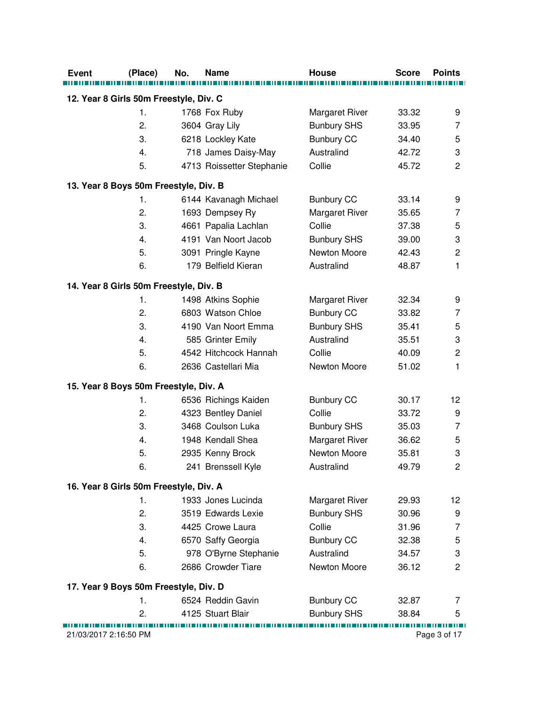| <b>Event</b>                           | (Place)                               | No. | <b>Name</b>               | House                 | <b>Score</b> | <b>Points</b>   |
|----------------------------------------|---------------------------------------|-----|---------------------------|-----------------------|--------------|-----------------|
| 12. Year 8 Girls 50m Freestyle, Div. C |                                       |     |                           |                       |              |                 |
|                                        | 1.                                    |     | 1768 Fox Ruby             | <b>Margaret River</b> | 33.32        | 9               |
|                                        | 2.                                    |     | 3604 Gray Lily            | <b>Bunbury SHS</b>    | 33.95        | 7               |
|                                        | 3.                                    |     | 6218 Lockley Kate         | <b>Bunbury CC</b>     | 34.40        | 5               |
|                                        | 4.                                    |     | 718 James Daisy-May       | Australind            | 42.72        | 3               |
|                                        | 5.                                    |     | 4713 Roissetter Stephanie | Collie                | 45.72        | $\overline{c}$  |
| 13. Year 8 Boys 50m Freestyle, Div. B  |                                       |     |                           |                       |              |                 |
|                                        | 1.                                    |     | 6144 Kavanagh Michael     | <b>Bunbury CC</b>     | 33.14        | 9               |
|                                        | 2.                                    |     | 1693 Dempsey Ry           | Margaret River        | 35.65        | 7               |
|                                        | 3.                                    |     | 4661 Papalia Lachlan      | Collie                | 37.38        | 5               |
|                                        | 4.                                    |     | 4191 Van Noort Jacob      | <b>Bunbury SHS</b>    | 39.00        | 3               |
|                                        | 5.                                    |     | 3091 Pringle Kayne        | Newton Moore          | 42.43        | $\overline{c}$  |
|                                        | 6.                                    |     | 179 Belfield Kieran       | Australind            | 48.87        | 1               |
| 14. Year 8 Girls 50m Freestyle, Div. B |                                       |     |                           |                       |              |                 |
|                                        | 1.                                    |     | 1498 Atkins Sophie        | Margaret River        | 32.34        | 9               |
|                                        | 2.                                    |     | 6803 Watson Chloe         | <b>Bunbury CC</b>     | 33.82        | 7               |
|                                        | 3.                                    |     | 4190 Van Noort Emma       | <b>Bunbury SHS</b>    | 35.41        | 5               |
|                                        | 4.                                    |     | 585 Grinter Emily         | Australind            | 35.51        | 3               |
|                                        | 5.                                    |     | 4542 Hitchcock Hannah     | Collie                | 40.09        | $\overline{c}$  |
|                                        | 6.                                    |     | 2636 Castellari Mia       | Newton Moore          | 51.02        | 1               |
| 15. Year 8 Boys 50m Freestyle, Div. A  |                                       |     |                           |                       |              |                 |
|                                        | 1.                                    |     | 6536 Richings Kaiden      | <b>Bunbury CC</b>     | 30.17        | 12              |
|                                        | 2.                                    |     | 4323 Bentley Daniel       | Collie                | 33.72        | 9               |
|                                        | 3.                                    |     | 3468 Coulson Luka         | <b>Bunbury SHS</b>    | 35.03        | 7               |
|                                        | 4.                                    |     | 1948 Kendall Shea         | Margaret River        | 36.62        | 5               |
|                                        | 5.                                    |     | 2935 Kenny Brock          | Newton Moore          | 35.81        | 3               |
|                                        | 6.                                    |     | 241 Brenssell Kyle        | Australind            | 49.79        | $\overline{c}$  |
| 16. Year 8 Girls 50m Freestyle, Div. A |                                       |     |                           |                       |              |                 |
|                                        | 1.                                    |     | 1933 Jones Lucinda        | Margaret River        | 29.93        | 12 <sup>°</sup> |
|                                        | 2.                                    |     | 3519 Edwards Lexie        | <b>Bunbury SHS</b>    | 30.96        | 9               |
|                                        | 3.                                    |     | 4425 Crowe Laura          | Collie                | 31.96        | 7               |
|                                        | 4.                                    |     | 6570 Saffy Georgia        | <b>Bunbury CC</b>     | 32.38        | 5               |
|                                        | 5.                                    |     | 978 O'Byrne Stephanie     | Australind            | 34.57        | 3               |
|                                        | 6.                                    |     | 2686 Crowder Tiare        | Newton Moore          | 36.12        | $\overline{c}$  |
|                                        | 17. Year 9 Boys 50m Freestyle, Div. D |     |                           |                       |              |                 |
|                                        |                                       |     | 6524 Reddin Gavin         | <b>Bunbury CC</b>     | 32.87        | 7               |
|                                        | 1.                                    |     |                           |                       |              |                 |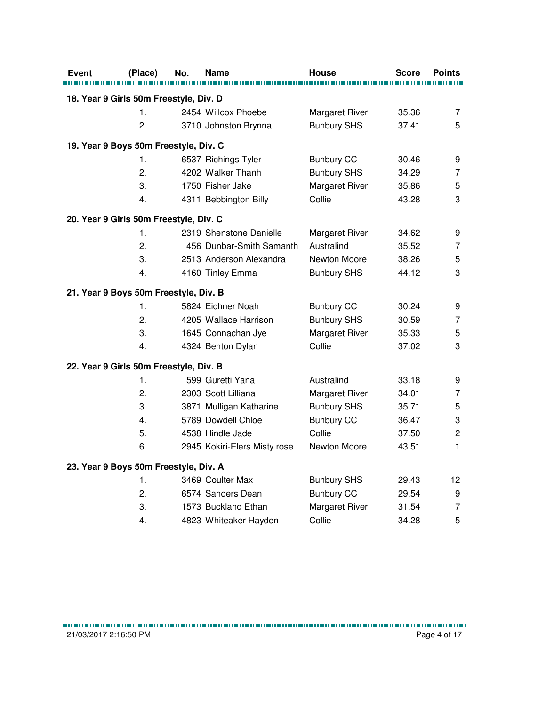| Event                                  | (Place)          | No. | <b>Name</b>                  | <b>House</b>       | <b>Score</b> | <b>Points</b>  |
|----------------------------------------|------------------|-----|------------------------------|--------------------|--------------|----------------|
|                                        |                  |     |                              |                    |              |                |
| 18. Year 9 Girls 50m Freestyle, Div. D |                  |     |                              |                    |              |                |
|                                        | 1.               |     | 2454 Willcox Phoebe          | Margaret River     | 35.36        | $\overline{7}$ |
|                                        | 2.               |     | 3710 Johnston Brynna         | <b>Bunbury SHS</b> | 37.41        | 5              |
| 19. Year 9 Boys 50m Freestyle, Div. C  |                  |     |                              |                    |              |                |
|                                        | 1.               |     | 6537 Richings Tyler          | <b>Bunbury CC</b>  | 30.46        | 9              |
|                                        | 2.               |     | 4202 Walker Thanh            | <b>Bunbury SHS</b> | 34.29        | $\overline{7}$ |
|                                        | 3.               |     | 1750 Fisher Jake             | Margaret River     | 35.86        | $\sqrt{5}$     |
|                                        | 4.               |     | 4311 Bebbington Billy        | Collie             | 43.28        | 3              |
| 20. Year 9 Girls 50m Freestyle, Div. C |                  |     |                              |                    |              |                |
|                                        | 1.               |     | 2319 Shenstone Danielle      | Margaret River     | 34.62        | 9              |
|                                        | 2.               |     | 456 Dunbar-Smith Samanth     | Australind         | 35.52        | $\overline{7}$ |
|                                        | 3.               |     | 2513 Anderson Alexandra      | Newton Moore       | 38.26        | 5              |
|                                        | 4.               |     | 4160 Tinley Emma             | <b>Bunbury SHS</b> | 44.12        | 3              |
| 21. Year 9 Boys 50m Freestyle, Div. B  |                  |     |                              |                    |              |                |
|                                        | $\mathbf 1$ .    |     | 5824 Eichner Noah            | <b>Bunbury CC</b>  | 30.24        | 9              |
|                                        | 2.               |     | 4205 Wallace Harrison        | <b>Bunbury SHS</b> | 30.59        | $\overline{7}$ |
|                                        | 3.               |     | 1645 Connachan Jye           | Margaret River     | 35.33        | 5              |
|                                        | 4.               |     | 4324 Benton Dylan            | Collie             | 37.02        | 3              |
| 22. Year 9 Girls 50m Freestyle, Div. B |                  |     |                              |                    |              |                |
|                                        | 1.               |     | 599 Guretti Yana             | Australind         | 33.18        | 9              |
|                                        | $\overline{2}$ . |     | 2303 Scott Lilliana          | Margaret River     | 34.01        | $\overline{7}$ |
|                                        | 3.               |     | 3871 Mulligan Katharine      | <b>Bunbury SHS</b> | 35.71        | 5              |
|                                        | 4.               |     | 5789 Dowdell Chloe           | <b>Bunbury CC</b>  | 36.47        | 3              |
|                                        | 5.               |     | 4538 Hindle Jade             | Collie             | 37.50        | $\overline{c}$ |
|                                        | 6.               |     | 2945 Kokiri-Elers Misty rose | Newton Moore       | 43.51        | $\mathbf{1}$   |
| 23. Year 9 Boys 50m Freestyle, Div. A  |                  |     |                              |                    |              |                |
|                                        | 1.               |     | 3469 Coulter Max             | <b>Bunbury SHS</b> | 29.43        | 12             |
|                                        | 2.               |     | 6574 Sanders Dean            | <b>Bunbury CC</b>  | 29.54        | 9              |
|                                        | 3.               |     | 1573 Buckland Ethan          | Margaret River     | 31.54        | $\overline{7}$ |
|                                        | 4.               |     | 4823 Whiteaker Hayden        | Collie             | 34.28        | 5              |
|                                        |                  |     |                              |                    |              |                |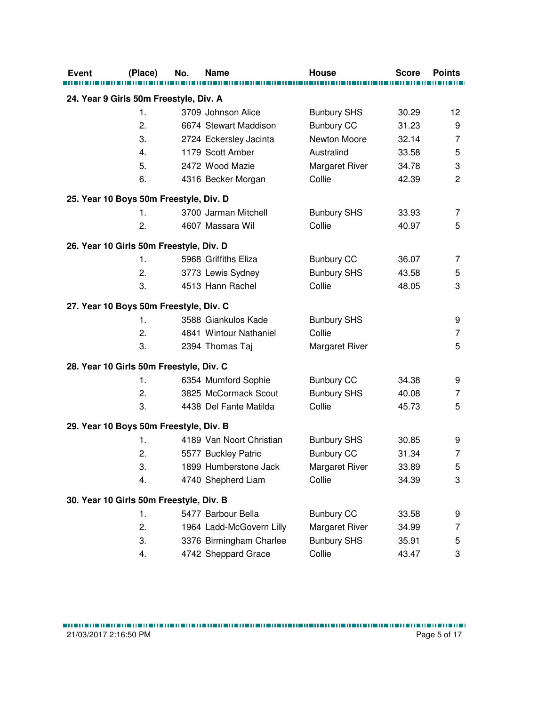| <b>Event</b>                            | (Place)        | No. | Name                     | House                 | <b>Score</b> | <b>Points</b>  |
|-----------------------------------------|----------------|-----|--------------------------|-----------------------|--------------|----------------|
|                                         |                |     |                          |                       |              |                |
| 24. Year 9 Girls 50m Freestyle, Div. A  |                |     |                          |                       |              |                |
|                                         | 1.             |     | 3709 Johnson Alice       | <b>Bunbury SHS</b>    | 30.29        | 12             |
|                                         | 2.             |     | 6674 Stewart Maddison    | <b>Bunbury CC</b>     | 31.23        | 9              |
|                                         | 3.             |     | 2724 Eckersley Jacinta   | Newton Moore          | 32.14        | $\overline{7}$ |
|                                         | 4.             |     | 1179 Scott Amber         | Australind            | 33.58        | 5              |
|                                         | 5.             |     | 2472 Wood Mazie          | Margaret River        | 34.78        | 3              |
|                                         | 6.             |     | 4316 Becker Morgan       | Collie                | 42.39        | $\overline{2}$ |
| 25. Year 10 Boys 50m Freestyle, Div. D  |                |     |                          |                       |              |                |
|                                         | $\mathbf{1}$ . |     | 3700 Jarman Mitchell     | <b>Bunbury SHS</b>    | 33.93        | 7              |
|                                         | 2.             |     | 4607 Massara Wil         | Collie                | 40.97        | 5              |
| 26. Year 10 Girls 50m Freestyle, Div. D |                |     |                          |                       |              |                |
|                                         | 1.             |     | 5968 Griffiths Eliza     | <b>Bunbury CC</b>     | 36.07        | 7              |
|                                         | 2.             |     | 3773 Lewis Sydney        | <b>Bunbury SHS</b>    | 43.58        | 5              |
|                                         | 3.             |     | 4513 Hann Rachel         | Collie                | 48.05        | 3              |
| 27. Year 10 Boys 50m Freestyle, Div. C  |                |     |                          |                       |              |                |
|                                         | $\mathbf{1}$ . |     | 3588 Giankulos Kade      | <b>Bunbury SHS</b>    |              | 9              |
|                                         | 2.             |     | 4841 Wintour Nathaniel   | Collie                |              | $\overline{7}$ |
|                                         | 3.             |     | 2394 Thomas Taj          | <b>Margaret River</b> |              | 5              |
| 28. Year 10 Girls 50m Freestyle, Div. C |                |     |                          |                       |              |                |
|                                         | 1.             |     | 6354 Mumford Sophie      | <b>Bunbury CC</b>     | 34.38        | 9              |
|                                         | 2.             |     | 3825 McCormack Scout     | <b>Bunbury SHS</b>    | 40.08        | 7              |
|                                         | 3.             |     | 4438 Del Fante Matilda   | Collie                | 45.73        | 5              |
| 29. Year 10 Boys 50m Freestyle, Div. B  |                |     |                          |                       |              |                |
|                                         | 1.             |     | 4189 Van Noort Christian | <b>Bunbury SHS</b>    | 30.85        | 9              |
|                                         | 2.             |     | 5577 Buckley Patric      | <b>Bunbury CC</b>     | 31.34        | 7              |
|                                         | 3.             |     | 1899 Humberstone Jack    | Margaret River        | 33.89        | 5              |
|                                         | 4.             |     | 4740 Shepherd Liam       | Collie                | 34.39        | 3              |
|                                         |                |     |                          |                       |              |                |
| 30. Year 10 Girls 50m Freestyle, Div. B |                |     |                          |                       |              |                |
|                                         | 1.             |     | 5477 Barbour Bella       | <b>Bunbury CC</b>     | 33.58        | 9              |
|                                         | 2.             |     | 1964 Ladd-McGovern Lilly | Margaret River        | 34.99        | 7              |
|                                         | 3.             |     | 3376 Birmingham Charlee  | <b>Bunbury SHS</b>    | 35.91        | 5              |
|                                         | 4.             |     | 4742 Sheppard Grace      | Collie                | 43.47        | 3              |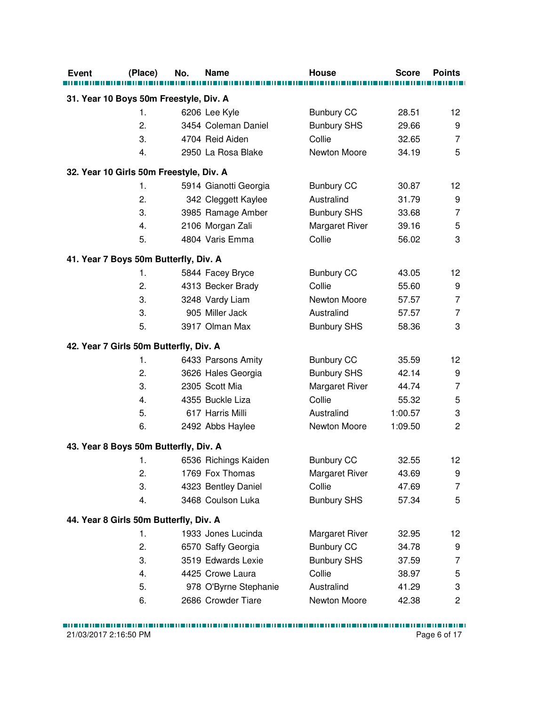| <b>Event</b><br>(Place)                 | No. | Name                  | House                 | <b>Score</b> | <b>Points</b>   |
|-----------------------------------------|-----|-----------------------|-----------------------|--------------|-----------------|
|                                         |     |                       |                       |              |                 |
| 31. Year 10 Boys 50m Freestyle, Div. A  |     |                       |                       |              |                 |
| 1.                                      |     | 6206 Lee Kyle         | <b>Bunbury CC</b>     | 28.51        | 12              |
| 2.                                      |     | 3454 Coleman Daniel   | <b>Bunbury SHS</b>    | 29.66        | 9               |
| 3.                                      |     | 4704 Reid Aiden       | Collie                | 32.65        | 7               |
| 4.                                      |     | 2950 La Rosa Blake    | Newton Moore          | 34.19        | 5               |
| 32. Year 10 Girls 50m Freestyle, Div. A |     |                       |                       |              |                 |
| 1.                                      |     | 5914 Gianotti Georgia | <b>Bunbury CC</b>     | 30.87        | 12              |
| 2.                                      |     | 342 Cleggett Kaylee   | Australind            | 31.79        | 9               |
| 3.                                      |     | 3985 Ramage Amber     | <b>Bunbury SHS</b>    | 33.68        | $\overline{7}$  |
| 4.                                      |     | 2106 Morgan Zali      | Margaret River        | 39.16        | 5               |
| 5.                                      |     | 4804 Varis Emma       | Collie                | 56.02        | 3               |
| 41. Year 7 Boys 50m Butterfly, Div. A   |     |                       |                       |              |                 |
| 1.                                      |     | 5844 Facey Bryce      | <b>Bunbury CC</b>     | 43.05        | 12              |
| 2.                                      |     | 4313 Becker Brady     | Collie                | 55.60        | 9               |
| 3.                                      |     | 3248 Vardy Liam       | Newton Moore          | 57.57        | $\overline{7}$  |
| 3.                                      |     | 905 Miller Jack       | Australind            | 57.57        | $\overline{7}$  |
| 5.                                      |     | 3917 Olman Max        | <b>Bunbury SHS</b>    | 58.36        | 3               |
|                                         |     |                       |                       |              |                 |
| 42. Year 7 Girls 50m Butterfly, Div. A  |     |                       |                       |              |                 |
| 1.                                      |     | 6433 Parsons Amity    | <b>Bunbury CC</b>     | 35.59        | 12 <sub>2</sub> |
| 2.                                      |     | 3626 Hales Georgia    | <b>Bunbury SHS</b>    | 42.14        | 9               |
| 3.                                      |     | 2305 Scott Mia        | Margaret River        | 44.74        | $\overline{7}$  |
| 4.                                      |     | 4355 Buckle Liza      | Collie                | 55.32        | 5               |
| 5.                                      |     | 617 Harris Milli      | Australind            | 1:00.57      | 3               |
| 6.                                      |     | 2492 Abbs Haylee      | Newton Moore          | 1:09.50      | $\overline{c}$  |
| 43. Year 8 Boys 50m Butterfly, Div. A   |     |                       |                       |              |                 |
| 1.                                      |     | 6536 Richings Kaiden  | <b>Bunbury CC</b>     | 32.55        | 12 <sub>2</sub> |
| 2.                                      |     | 1769 Fox Thomas       | <b>Margaret River</b> | 43.69        | 9               |
| 3.                                      |     | 4323 Bentley Daniel   | Collie                | 47.69        | 7               |
| 4.                                      |     | 3468 Coulson Luka     | <b>Bunbury SHS</b>    | 57.34        | 5               |
| 44. Year 8 Girls 50m Butterfly, Div. A  |     |                       |                       |              |                 |
| 1.                                      |     | 1933 Jones Lucinda    | <b>Margaret River</b> | 32.95        | 12              |
| 2.                                      |     | 6570 Saffy Georgia    | <b>Bunbury CC</b>     | 34.78        | 9               |
| 3.                                      |     | 3519 Edwards Lexie    | <b>Bunbury SHS</b>    | 37.59        | 7               |
| 4.                                      |     | 4425 Crowe Laura      | Collie                | 38.97        | 5               |
| 5.                                      |     | 978 O'Byrne Stephanie | Australind            | 41.29        | 3               |
| 6.                                      |     | 2686 Crowder Tiare    | Newton Moore          | 42.38        | $\overline{c}$  |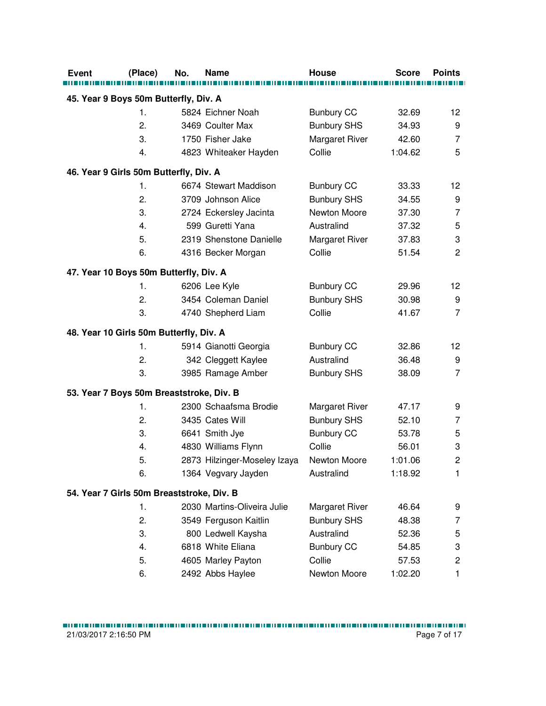| <b>Event</b>                              | (Place)        | No. | <b>Name</b>                  | <b>House</b>       | <b>Score</b> | <b>Points</b>           |
|-------------------------------------------|----------------|-----|------------------------------|--------------------|--------------|-------------------------|
|                                           |                |     |                              |                    |              |                         |
| 45. Year 9 Boys 50m Butterfly, Div. A     |                |     |                              |                    |              |                         |
|                                           | 1.             |     | 5824 Eichner Noah            | <b>Bunbury CC</b>  | 32.69        | 12 <sup>°</sup>         |
|                                           | 2.             |     | 3469 Coulter Max             | <b>Bunbury SHS</b> | 34.93        | 9                       |
|                                           | 3.             |     | 1750 Fisher Jake             | Margaret River     | 42.60        | 7                       |
|                                           | 4.             |     | 4823 Whiteaker Hayden        | Collie             | 1:04.62      | 5                       |
| 46. Year 9 Girls 50m Butterfly, Div. A    |                |     |                              |                    |              |                         |
|                                           | 1.             |     | 6674 Stewart Maddison        | <b>Bunbury CC</b>  | 33.33        | 12                      |
|                                           | 2.             |     | 3709 Johnson Alice           | <b>Bunbury SHS</b> | 34.55        | 9                       |
|                                           | 3.             |     | 2724 Eckersley Jacinta       | Newton Moore       | 37.30        | $\overline{7}$          |
|                                           | 4.             |     | 599 Guretti Yana             | Australind         | 37.32        | 5                       |
|                                           | 5.             |     | 2319 Shenstone Danielle      | Margaret River     | 37.83        | 3                       |
|                                           | 6.             |     | 4316 Becker Morgan           | Collie             | 51.54        | $\overline{c}$          |
| 47. Year 10 Boys 50m Butterfly, Div. A    |                |     |                              |                    |              |                         |
|                                           | 1.             |     | 6206 Lee Kyle                | <b>Bunbury CC</b>  | 29.96        | 12                      |
|                                           | 2.             |     | 3454 Coleman Daniel          | <b>Bunbury SHS</b> | 30.98        | 9                       |
|                                           | 3.             |     | 4740 Shepherd Liam           | Collie             | 41.67        | $\overline{7}$          |
| 48. Year 10 Girls 50m Butterfly, Div. A   |                |     |                              |                    |              |                         |
|                                           | 1.             |     | 5914 Gianotti Georgia        | <b>Bunbury CC</b>  | 32.86        | 12                      |
|                                           | 2.             |     | 342 Cleggett Kaylee          | Australind         | 36.48        | 9                       |
|                                           | 3.             |     | 3985 Ramage Amber            | <b>Bunbury SHS</b> | 38.09        | $\overline{7}$          |
| 53. Year 7 Boys 50m Breaststroke, Div. B  |                |     |                              |                    |              |                         |
|                                           | 1.             |     | 2300 Schaafsma Brodie        | Margaret River     | 47.17        | 9                       |
|                                           | 2.             |     | 3435 Cates Will              | <b>Bunbury SHS</b> | 52.10        | 7                       |
|                                           | 3.             |     | 6641 Smith Jye               | <b>Bunbury CC</b>  | 53.78        | 5                       |
|                                           | 4.             |     | 4830 Williams Flynn          | Collie             | 56.01        | 3                       |
|                                           | 5.             |     | 2873 Hilzinger-Moseley Izaya | Newton Moore       | 1:01.06      | 2                       |
|                                           | 6.             |     | 1364 Vegvary Jayden          | Australind         | 1:18.92      | 1.                      |
|                                           |                |     |                              |                    |              |                         |
| 54. Year 7 Girls 50m Breaststroke, Div. B |                |     |                              |                    |              |                         |
|                                           | $\mathbf{1}$ . |     | 2030 Martins-Oliveira Julie  | Margaret River     | 46.64        | 9                       |
|                                           | 2.             |     | 3549 Ferguson Kaitlin        | <b>Bunbury SHS</b> | 48.38        | 7                       |
|                                           | 3.             |     | 800 Ledwell Kaysha           | Australind         | 52.36        | 5                       |
|                                           | 4.             |     | 6818 White Eliana            | <b>Bunbury CC</b>  | 54.85        | 3                       |
|                                           | 5.             |     | 4605 Marley Payton           | Collie             | 57.53        | $\overline{\mathbf{c}}$ |
|                                           | 6.             |     | 2492 Abbs Haylee             | Newton Moore       | 1:02.20      | 1                       |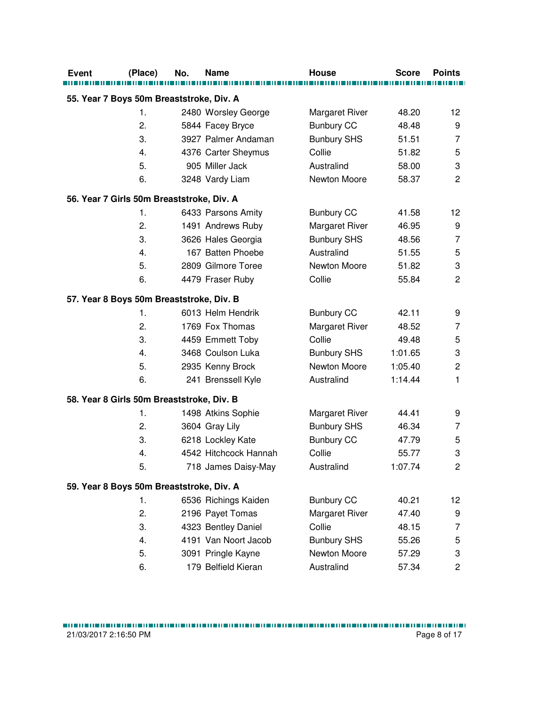| <b>Event</b>                              | (Place) | No. | <b>Name</b>           | <b>House</b>          | <b>Score</b> | <b>Points</b>             |
|-------------------------------------------|---------|-----|-----------------------|-----------------------|--------------|---------------------------|
|                                           |         |     |                       |                       |              |                           |
| 55. Year 7 Boys 50m Breaststroke, Div. A  |         |     |                       |                       |              |                           |
|                                           | 1.      |     | 2480 Worsley George   | Margaret River        | 48.20        | 12                        |
|                                           | 2.      |     | 5844 Facey Bryce      | <b>Bunbury CC</b>     | 48.48        | 9                         |
|                                           | 3.      |     | 3927 Palmer Andaman   | <b>Bunbury SHS</b>    | 51.51        | $\overline{7}$            |
|                                           | 4.      |     | 4376 Carter Sheymus   | Collie                | 51.82        | 5                         |
|                                           | 5.      |     | 905 Miller Jack       | Australind            | 58.00        | $\ensuremath{\mathsf{3}}$ |
|                                           | 6.      |     | 3248 Vardy Liam       | Newton Moore          | 58.37        | $\overline{2}$            |
| 56. Year 7 Girls 50m Breaststroke, Div. A |         |     |                       |                       |              |                           |
|                                           | 1.      |     | 6433 Parsons Amity    | <b>Bunbury CC</b>     | 41.58        | 12                        |
|                                           | 2.      |     | 1491 Andrews Ruby     | Margaret River        | 46.95        | 9                         |
|                                           | 3.      |     | 3626 Hales Georgia    | <b>Bunbury SHS</b>    | 48.56        | $\overline{7}$            |
|                                           | 4.      |     | 167 Batten Phoebe     | Australind            | 51.55        | 5                         |
|                                           | 5.      |     | 2809 Gilmore Toree    | Newton Moore          | 51.82        | 3                         |
|                                           | 6.      |     | 4479 Fraser Ruby      | Collie                | 55.84        | $\overline{c}$            |
| 57. Year 8 Boys 50m Breaststroke, Div. B  |         |     |                       |                       |              |                           |
|                                           | 1.      |     | 6013 Helm Hendrik     | <b>Bunbury CC</b>     | 42.11        | 9                         |
|                                           | 2.      |     | 1769 Fox Thomas       | Margaret River        | 48.52        | 7                         |
|                                           | 3.      |     | 4459 Emmett Toby      | Collie                | 49.48        | 5                         |
|                                           | 4.      |     | 3468 Coulson Luka     | <b>Bunbury SHS</b>    | 1:01.65      | 3                         |
|                                           | 5.      |     | 2935 Kenny Brock      | Newton Moore          | 1:05.40      | $\overline{c}$            |
|                                           | 6.      |     | 241 Brenssell Kyle    | Australind            | 1:14.44      | 1                         |
| 58. Year 8 Girls 50m Breaststroke, Div. B |         |     |                       |                       |              |                           |
|                                           | 1.      |     | 1498 Atkins Sophie    | <b>Margaret River</b> | 44.41        | 9                         |
|                                           | 2.      |     | 3604 Gray Lily        | <b>Bunbury SHS</b>    | 46.34        | 7                         |
|                                           | 3.      |     | 6218 Lockley Kate     | <b>Bunbury CC</b>     | 47.79        | 5                         |
|                                           | 4.      |     | 4542 Hitchcock Hannah | Collie                | 55.77        | 3                         |
|                                           | 5.      |     | 718 James Daisy-May   | Australind            | 1:07.74      | 2                         |
| 59. Year 8 Boys 50m Breaststroke, Div. A  |         |     |                       |                       |              |                           |
|                                           | 1.      |     | 6536 Richings Kaiden  | <b>Bunbury CC</b>     | 40.21        | 12                        |
|                                           | 2.      |     | 2196 Payet Tomas      | Margaret River        | 47.40        | 9                         |
|                                           | 3.      |     | 4323 Bentley Daniel   | Collie                | 48.15        | 7                         |
|                                           | 4.      |     | 4191 Van Noort Jacob  | <b>Bunbury SHS</b>    | 55.26        | 5                         |
|                                           | 5.      |     | 3091 Pringle Kayne    | Newton Moore          | 57.29        | 3                         |
|                                           | 6.      |     | 179 Belfield Kieran   | Australind            | 57.34        | $\overline{c}$            |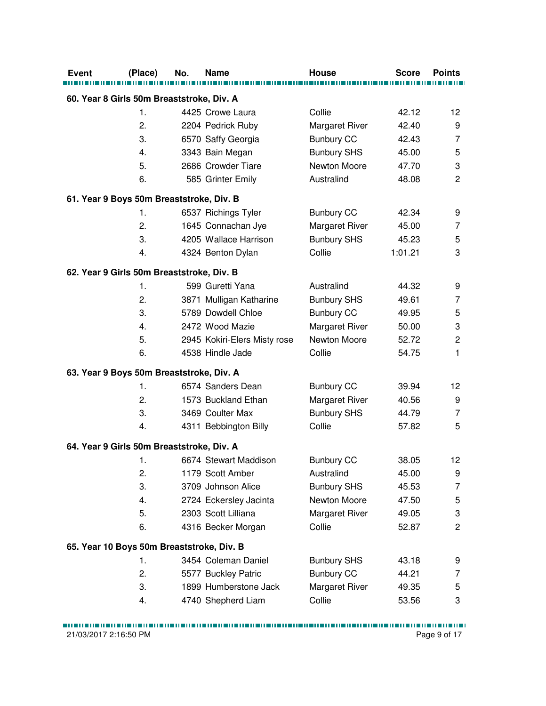| <b>Event</b>                              | (Place) | No. | Name                         | <b>House</b>          | <b>Score</b> | <b>Points</b>  |
|-------------------------------------------|---------|-----|------------------------------|-----------------------|--------------|----------------|
| 60. Year 8 Girls 50m Breaststroke, Div. A |         |     |                              |                       |              |                |
|                                           | 1.      |     | 4425 Crowe Laura             | Collie                | 42.12        | 12             |
|                                           | 2.      |     | 2204 Pedrick Ruby            | <b>Margaret River</b> | 42.40        | 9              |
|                                           | 3.      |     | 6570 Saffy Georgia           | <b>Bunbury CC</b>     | 42.43        | 7              |
|                                           | 4.      |     | 3343 Bain Megan              | <b>Bunbury SHS</b>    | 45.00        | 5              |
|                                           | 5.      |     | 2686 Crowder Tiare           | Newton Moore          | 47.70        | 3              |
|                                           | 6.      |     | 585 Grinter Emily            | Australind            | 48.08        | $\overline{2}$ |
|                                           |         |     |                              |                       |              |                |
| 61. Year 9 Boys 50m Breaststroke, Div. B  |         |     |                              |                       |              |                |
|                                           | 1.      |     | 6537 Richings Tyler          | <b>Bunbury CC</b>     | 42.34        | 9              |
|                                           | 2.      |     | 1645 Connachan Jye           | Margaret River        | 45.00        | $\overline{7}$ |
|                                           | 3.      |     | 4205 Wallace Harrison        | <b>Bunbury SHS</b>    | 45.23        | 5              |
|                                           | 4.      |     | 4324 Benton Dylan            | Collie                | 1:01.21      | 3              |
| 62. Year 9 Girls 50m Breaststroke, Div. B |         |     |                              |                       |              |                |
|                                           | 1.      |     | 599 Guretti Yana             | Australind            | 44.32        | 9              |
|                                           | 2.      |     | 3871 Mulligan Katharine      | <b>Bunbury SHS</b>    | 49.61        | 7              |
|                                           | 3.      |     | 5789 Dowdell Chloe           | <b>Bunbury CC</b>     | 49.95        | 5              |
|                                           | 4.      |     | 2472 Wood Mazie              | Margaret River        | 50.00        | 3              |
|                                           | 5.      |     | 2945 Kokiri-Elers Misty rose | Newton Moore          | 52.72        | $\overline{c}$ |
|                                           | 6.      |     | 4538 Hindle Jade             | Collie                | 54.75        | 1              |
| 63. Year 9 Boys 50m Breaststroke, Div. A  |         |     |                              |                       |              |                |
|                                           | 1.      |     | 6574 Sanders Dean            | <b>Bunbury CC</b>     | 39.94        | 12             |
|                                           | 2.      |     | 1573 Buckland Ethan          | Margaret River        | 40.56        | 9              |
|                                           | 3.      |     | 3469 Coulter Max             | <b>Bunbury SHS</b>    | 44.79        | $\overline{7}$ |
|                                           | 4.      |     | 4311 Bebbington Billy        | Collie                | 57.82        | 5              |
| 64. Year 9 Girls 50m Breaststroke, Div. A |         |     |                              |                       |              |                |
|                                           | 1.      |     | 6674 Stewart Maddison        | <b>Bunbury CC</b>     | 38.05        | 12             |
|                                           | 2.      |     | 1179 Scott Amber             | Australind            | 45.00        | 9              |
|                                           | 3.      |     | 3709 Johnson Alice           | <b>Bunbury SHS</b>    | 45.53        | 7              |
|                                           |         |     |                              | Newton Moore          |              |                |
|                                           | 4.      |     | 2724 Eckersley Jacinta       |                       | 47.50        | 5              |
|                                           | 5.      |     | 2303 Scott Lilliana          | Margaret River        | 49.05        | 3              |
|                                           | 6.      |     | 4316 Becker Morgan           | Collie                | 52.87        | $\overline{c}$ |
| 65. Year 10 Boys 50m Breaststroke, Div. B |         |     |                              |                       |              |                |
|                                           | 1.      |     | 3454 Coleman Daniel          | <b>Bunbury SHS</b>    | 43.18        | 9              |
|                                           | 2.      |     | 5577 Buckley Patric          | <b>Bunbury CC</b>     | 44.21        | 7              |
|                                           | 3.      |     | 1899 Humberstone Jack        | Margaret River        | 49.35        | 5              |
|                                           | 4.      |     | 4740 Shepherd Liam           | Collie                | 53.56        | 3              |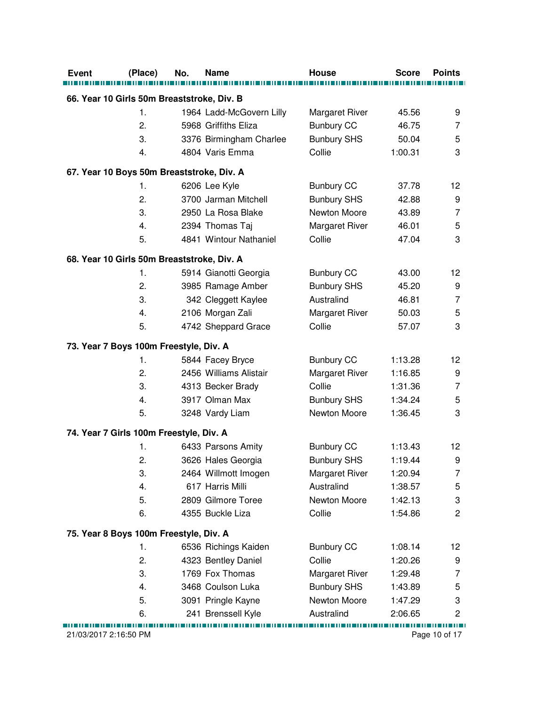| <b>Event</b><br>(Place)                    | No. | <b>Name</b>              | <b>House</b>       | <b>Score</b> | <b>Points</b>  |
|--------------------------------------------|-----|--------------------------|--------------------|--------------|----------------|
| 66. Year 10 Girls 50m Breaststroke, Div. B |     |                          |                    |              |                |
| 1.                                         |     | 1964 Ladd-McGovern Lilly | Margaret River     | 45.56        | 9              |
| 2.                                         |     | 5968 Griffiths Eliza     | <b>Bunbury CC</b>  | 46.75        | 7              |
| 3.                                         |     | 3376 Birmingham Charlee  | <b>Bunbury SHS</b> | 50.04        | 5              |
| 4.                                         |     | 4804 Varis Emma          | Collie             | 1:00.31      | 3              |
| 67. Year 10 Boys 50m Breaststroke, Div. A  |     |                          |                    |              |                |
| 1.                                         |     | 6206 Lee Kyle            | <b>Bunbury CC</b>  | 37.78        | 12             |
| 2.                                         |     | 3700 Jarman Mitchell     | <b>Bunbury SHS</b> | 42.88        | 9              |
| 3.                                         |     | 2950 La Rosa Blake       | Newton Moore       | 43.89        | 7              |
| 4.                                         |     | 2394 Thomas Taj          | Margaret River     | 46.01        | 5              |
| 5.                                         |     | 4841 Wintour Nathaniel   | Collie             | 47.04        | 3              |
| 68. Year 10 Girls 50m Breaststroke, Div. A |     |                          |                    |              |                |
| 1.                                         |     | 5914 Gianotti Georgia    | <b>Bunbury CC</b>  | 43.00        | 12             |
| 2.                                         |     | 3985 Ramage Amber        | <b>Bunbury SHS</b> | 45.20        | 9              |
| 3.                                         |     | 342 Cleggett Kaylee      | Australind         | 46.81        | 7              |
| 4.                                         |     | 2106 Morgan Zali         | Margaret River     | 50.03        | 5              |
| 5.                                         |     | 4742 Sheppard Grace      | Collie             | 57.07        | 3              |
| 73. Year 7 Boys 100m Freestyle, Div. A     |     |                          |                    |              |                |
| 1.                                         |     | 5844 Facey Bryce         | <b>Bunbury CC</b>  | 1:13.28      | 12             |
| 2.                                         |     | 2456 Williams Alistair   | Margaret River     | 1:16.85      | 9              |
| 3.                                         |     | 4313 Becker Brady        | Collie             | 1:31.36      | 7              |
| 4.                                         |     | 3917 Olman Max           | <b>Bunbury SHS</b> | 1:34.24      | 5              |
| 5.                                         |     | 3248 Vardy Liam          | Newton Moore       | 1:36.45      | 3              |
| 74. Year 7 Girls 100m Freestyle, Div. A    |     |                          |                    |              |                |
| 1.                                         |     | 6433 Parsons Amity       | <b>Bunbury CC</b>  | 1:13.43      | 12             |
| 2.                                         |     | 3626 Hales Georgia       | <b>Bunbury SHS</b> | 1:19.44      | 9              |
| 3.                                         |     | 2464 Willmott Imogen     | Margaret River     | 1:20.94      | 7              |
| 4.                                         |     | 617 Harris Milli         | Australind         | 1:38.57      | 5              |
| 5.                                         |     | 2809 Gilmore Toree       | Newton Moore       | 1:42.13      | 3              |
| 6.                                         |     | 4355 Buckle Liza         | Collie             | 1:54.86      | $\overline{2}$ |
| 75. Year 8 Boys 100m Freestyle, Div. A     |     |                          |                    |              |                |
| 1.                                         |     | 6536 Richings Kaiden     | <b>Bunbury CC</b>  | 1:08.14      | 12             |
| 2.                                         |     | 4323 Bentley Daniel      | Collie             | 1:20.26      | 9              |
| 3.                                         |     | 1769 Fox Thomas          | Margaret River     | 1:29.48      | 7              |
| 4.                                         |     | 3468 Coulson Luka        | <b>Bunbury SHS</b> | 1:43.89      | 5              |
| 5.                                         |     | 3091 Pringle Kayne       | Newton Moore       | 1:47.29      | 3              |
| 6.                                         |     | 241 Brenssell Kyle       | Australind         | 2:06.65      | 2              |
| 21/03/2017 2:16:50 PM                      |     |                          |                    |              | Page 10 of 17  |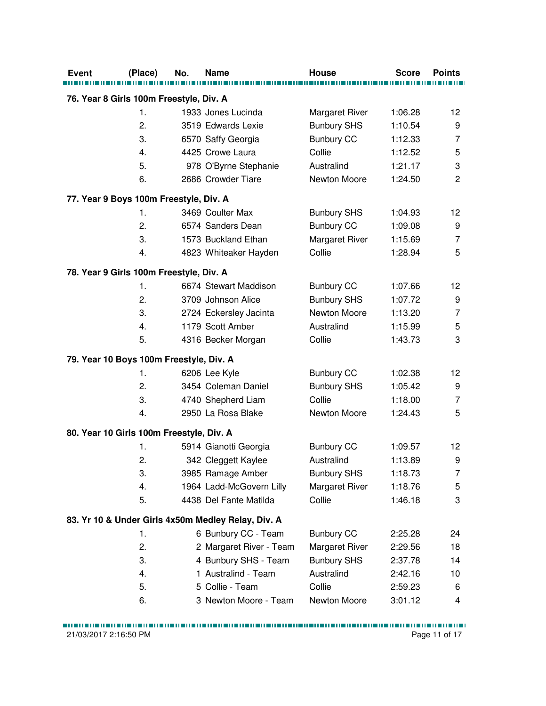| <b>Event</b>                             | (Place) | No. | <b>Name</b>                                        | <b>House</b>                | <b>Score</b> | <b>Points</b>       |
|------------------------------------------|---------|-----|----------------------------------------------------|-----------------------------|--------------|---------------------|
| 76. Year 8 Girls 100m Freestyle, Div. A  |         |     |                                                    |                             |              |                     |
|                                          | 1.      |     | 1933 Jones Lucinda                                 |                             | 1:06.28      | 12                  |
|                                          | 2.      |     | 3519 Edwards Lexie                                 | <b>Margaret River</b>       | 1:10.54      |                     |
|                                          | 3.      |     |                                                    | <b>Bunbury SHS</b>          |              | 9<br>$\overline{7}$ |
|                                          | 4.      |     | 6570 Saffy Georgia                                 | <b>Bunbury CC</b><br>Collie | 1:12.33      |                     |
|                                          | 5.      |     | 4425 Crowe Laura                                   | Australind                  | 1:12.52      | 5<br>3              |
|                                          |         |     | 978 O'Byrne Stephanie<br>2686 Crowder Tiare        |                             | 1:21.17      |                     |
|                                          | 6.      |     |                                                    | Newton Moore                | 1:24.50      | 2                   |
| 77. Year 9 Boys 100m Freestyle, Div. A   |         |     |                                                    |                             |              |                     |
|                                          | 1.      |     | 3469 Coulter Max                                   | <b>Bunbury SHS</b>          | 1:04.93      | 12                  |
|                                          | 2.      |     | 6574 Sanders Dean                                  | <b>Bunbury CC</b>           | 1:09.08      | 9                   |
|                                          | 3.      |     | 1573 Buckland Ethan                                | Margaret River              | 1:15.69      | $\overline{7}$      |
|                                          | 4.      |     | 4823 Whiteaker Hayden                              | Collie                      | 1:28.94      | 5                   |
| 78. Year 9 Girls 100m Freestyle, Div. A  |         |     |                                                    |                             |              |                     |
|                                          | 1.      |     | 6674 Stewart Maddison                              | <b>Bunbury CC</b>           | 1:07.66      | 12                  |
|                                          | 2.      |     | 3709 Johnson Alice                                 | <b>Bunbury SHS</b>          | 1:07.72      | 9                   |
|                                          | 3.      |     | 2724 Eckersley Jacinta                             | Newton Moore                | 1:13.20      | $\overline{7}$      |
|                                          | 4.      |     | 1179 Scott Amber                                   | Australind                  | 1:15.99      | 5                   |
|                                          | 5.      |     | 4316 Becker Morgan                                 | Collie                      | 1:43.73      | 3                   |
| 79. Year 10 Boys 100m Freestyle, Div. A  |         |     |                                                    |                             |              |                     |
|                                          | 1.      |     | 6206 Lee Kyle                                      | <b>Bunbury CC</b>           | 1:02.38      | 12                  |
|                                          | 2.      |     | 3454 Coleman Daniel                                | <b>Bunbury SHS</b>          | 1:05.42      | 9                   |
|                                          | 3.      |     | 4740 Shepherd Liam                                 | Collie                      | 1:18.00      | $\overline{7}$      |
|                                          | 4.      |     | 2950 La Rosa Blake                                 | Newton Moore                | 1:24.43      | 5                   |
| 80. Year 10 Girls 100m Freestyle, Div. A |         |     |                                                    |                             |              |                     |
|                                          | 1.      |     | 5914 Gianotti Georgia                              | <b>Bunbury CC</b>           | 1:09.57      | 12                  |
|                                          | 2.      |     | 342 Cleggett Kaylee                                | Australind                  | 1:13.89      | 9                   |
|                                          | 3.      |     | 3985 Ramage Amber                                  | <b>Bunbury SHS</b>          | 1:18.73      | 7                   |
|                                          | 4.      |     | 1964 Ladd-McGovern Lilly                           | Margaret River              | 1:18.76      | 5                   |
|                                          | 5.      |     | 4438 Del Fante Matilda                             | Collie                      | 1:46.18      | 3                   |
|                                          |         |     | 83. Yr 10 & Under Girls 4x50m Medley Relay, Div. A |                             |              |                     |
|                                          | 1.      |     | 6 Bunbury CC - Team                                | <b>Bunbury CC</b>           | 2:25.28      | 24                  |
|                                          | 2.      |     | 2 Margaret River - Team                            | <b>Margaret River</b>       | 2:29.56      | 18                  |
|                                          | 3.      |     | 4 Bunbury SHS - Team                               | <b>Bunbury SHS</b>          | 2:37.78      | 14                  |
|                                          | 4.      |     | 1 Australind - Team                                | Australind                  | 2:42.16      | 10                  |
|                                          | 5.      |     | 5 Collie - Team                                    | Collie                      | 2:59.23      | 6                   |
|                                          | 6.      |     | 3 Newton Moore - Team                              | Newton Moore                | 3:01.12      | 4                   |
|                                          |         |     |                                                    |                             |              |                     |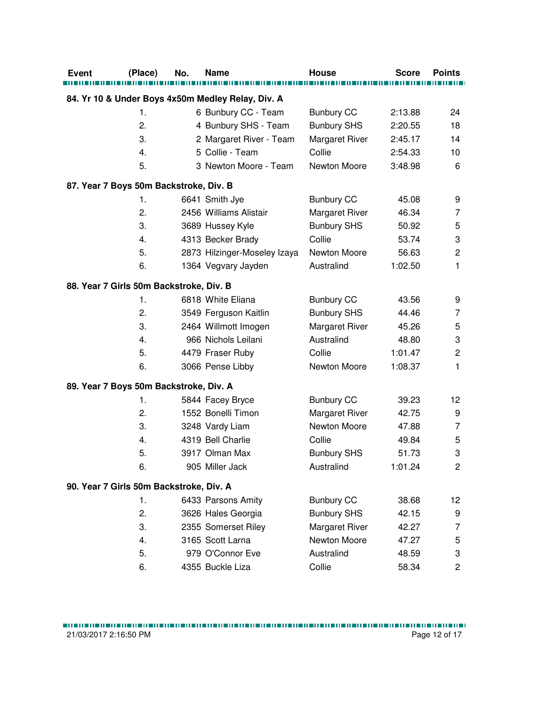| Event                                   | (Place) | No. | Name                                              | <b>House</b>       | <b>Score</b> | <b>Points</b>           |
|-----------------------------------------|---------|-----|---------------------------------------------------|--------------------|--------------|-------------------------|
|                                         |         |     | 84. Yr 10 & Under Boys 4x50m Medley Relay, Div. A |                    |              |                         |
|                                         | 1.      |     | 6 Bunbury CC - Team                               | <b>Bunbury CC</b>  | 2:13.88      | 24                      |
|                                         | 2.      |     | 4 Bunbury SHS - Team                              | <b>Bunbury SHS</b> | 2:20.55      | 18                      |
|                                         | 3.      |     | 2 Margaret River - Team                           | Margaret River     | 2:45.17      | 14                      |
|                                         | 4.      |     | 5 Collie - Team                                   | Collie             | 2:54.33      | 10                      |
|                                         | 5.      |     | 3 Newton Moore - Team                             | Newton Moore       | 3:48.98      | 6                       |
| 87. Year 7 Boys 50m Backstroke, Div. B  |         |     |                                                   |                    |              |                         |
|                                         | 1.      |     | 6641 Smith Jye                                    | <b>Bunbury CC</b>  | 45.08        | 9                       |
|                                         | 2.      |     | 2456 Williams Alistair                            | Margaret River     | 46.34        | 7                       |
|                                         | 3.      |     | 3689 Hussey Kyle                                  | <b>Bunbury SHS</b> | 50.92        | 5                       |
|                                         | 4.      |     | 4313 Becker Brady                                 | Collie             | 53.74        | 3                       |
|                                         | 5.      |     | 2873 Hilzinger-Moseley Izaya                      | Newton Moore       | 56.63        | $\overline{c}$          |
|                                         | 6.      |     | 1364 Vegvary Jayden                               | Australind         | 1:02.50      | $\mathbf{1}$            |
| 88. Year 7 Girls 50m Backstroke, Div. B |         |     |                                                   |                    |              |                         |
|                                         | 1.      |     | 6818 White Eliana                                 | <b>Bunbury CC</b>  | 43.56        | 9                       |
|                                         | 2.      |     | 3549 Ferguson Kaitlin                             | <b>Bunbury SHS</b> | 44.46        | 7                       |
|                                         | 3.      |     | 2464 Willmott Imogen                              | Margaret River     | 45.26        | 5                       |
|                                         | 4.      |     | 966 Nichols Leilani                               | Australind         | 48.80        | 3                       |
|                                         | 5.      |     | 4479 Fraser Ruby                                  | Collie             | 1:01.47      | $\overline{\mathbf{c}}$ |
|                                         | 6.      |     | 3066 Pense Libby                                  | Newton Moore       | 1:08.37      | 1                       |
| 89. Year 7 Boys 50m Backstroke, Div. A  |         |     |                                                   |                    |              |                         |
|                                         | 1.      |     | 5844 Facey Bryce                                  | <b>Bunbury CC</b>  | 39.23        | 12                      |
|                                         | 2.      |     | 1552 Bonelli Timon                                | Margaret River     | 42.75        | 9                       |
|                                         | 3.      |     | 3248 Vardy Liam                                   | Newton Moore       | 47.88        | $\overline{7}$          |
|                                         | 4.      |     | 4319 Bell Charlie                                 | Collie             | 49.84        | 5                       |
|                                         | 5.      |     | 3917 Olman Max                                    | <b>Bunbury SHS</b> | 51.73        | 3                       |
|                                         | 6.      |     | 905 Miller Jack                                   | Australind         | 1:01.24      | $\overline{2}$          |
| 90. Year 7 Girls 50m Backstroke, Div. A |         |     |                                                   |                    |              |                         |
|                                         | 1.      |     | 6433 Parsons Amity                                | <b>Bunbury CC</b>  | 38.68        | 12                      |
|                                         | 2.      |     | 3626 Hales Georgia                                | <b>Bunbury SHS</b> | 42.15        | 9                       |
|                                         | 3.      |     | 2355 Somerset Riley                               | Margaret River     | 42.27        | 7                       |
|                                         | 4.      |     | 3165 Scott Larna                                  | Newton Moore       | 47.27        | $\mathbf 5$             |
|                                         | 5.      |     | 979 O'Connor Eve                                  | Australind         | 48.59        | 3                       |
|                                         | 6.      |     | 4355 Buckle Liza                                  | Collie             | 58.34        | $\overline{\mathbf{c}}$ |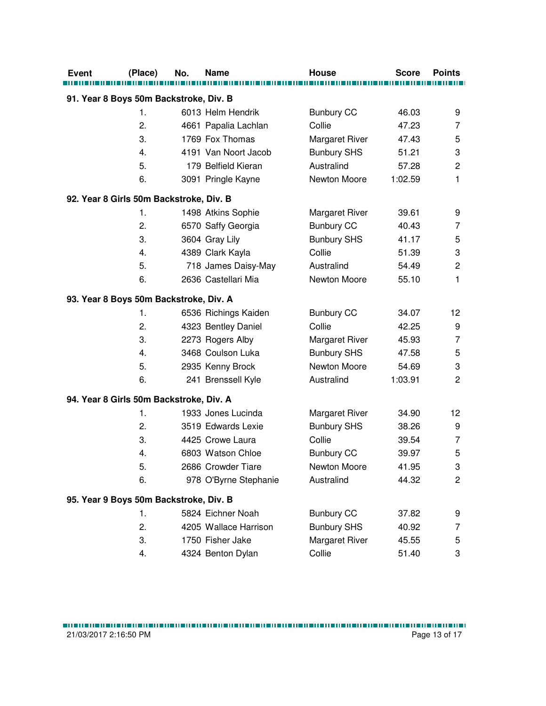| <b>Event</b>                            | (Place) | No. | Name                  | House                 | Score   | <b>Points</b>  |
|-----------------------------------------|---------|-----|-----------------------|-----------------------|---------|----------------|
|                                         |         |     |                       |                       |         |                |
| 91. Year 8 Boys 50m Backstroke, Div. B  |         |     |                       |                       |         |                |
|                                         | 1.      |     | 6013 Helm Hendrik     | <b>Bunbury CC</b>     | 46.03   | 9              |
|                                         | 2.      |     | 4661 Papalia Lachlan  | Collie                | 47.23   | 7              |
|                                         | 3.      |     | 1769 Fox Thomas       | Margaret River        | 47.43   | 5              |
|                                         | 4.      |     | 4191 Van Noort Jacob  | <b>Bunbury SHS</b>    | 51.21   | 3              |
|                                         | 5.      |     | 179 Belfield Kieran   | Australind            | 57.28   | $\overline{c}$ |
|                                         | 6.      |     | 3091 Pringle Kayne    | Newton Moore          | 1:02.59 | 1              |
| 92. Year 8 Girls 50m Backstroke, Div. B |         |     |                       |                       |         |                |
|                                         | 1.      |     | 1498 Atkins Sophie    | <b>Margaret River</b> | 39.61   | 9              |
|                                         | 2.      |     | 6570 Saffy Georgia    | <b>Bunbury CC</b>     | 40.43   | 7              |
|                                         | 3.      |     | 3604 Gray Lily        | <b>Bunbury SHS</b>    | 41.17   | 5              |
|                                         | 4.      |     | 4389 Clark Kayla      | Collie                | 51.39   | 3              |
|                                         | 5.      |     | 718 James Daisy-May   | Australind            | 54.49   | 2              |
|                                         | 6.      |     | 2636 Castellari Mia   | Newton Moore          | 55.10   | 1              |
| 93. Year 8 Boys 50m Backstroke, Div. A  |         |     |                       |                       |         |                |
|                                         | 1.      |     | 6536 Richings Kaiden  | <b>Bunbury CC</b>     | 34.07   | 12             |
|                                         | 2.      |     | 4323 Bentley Daniel   | Collie                | 42.25   | 9              |
|                                         | 3.      |     | 2273 Rogers Alby      | <b>Margaret River</b> | 45.93   | $\overline{7}$ |
|                                         | 4.      |     | 3468 Coulson Luka     | <b>Bunbury SHS</b>    | 47.58   | 5              |
|                                         | 5.      |     | 2935 Kenny Brock      | Newton Moore          | 54.69   | 3              |
|                                         | 6.      |     | 241 Brenssell Kyle    | Australind            | 1:03.91 | $\overline{2}$ |
| 94. Year 8 Girls 50m Backstroke, Div. A |         |     |                       |                       |         |                |
|                                         | 1.      |     | 1933 Jones Lucinda    | <b>Margaret River</b> | 34.90   | 12             |
|                                         | 2.      |     | 3519 Edwards Lexie    | <b>Bunbury SHS</b>    | 38.26   | 9              |
|                                         | 3.      |     | 4425 Crowe Laura      | Collie                | 39.54   | $\overline{7}$ |
|                                         | 4.      |     | 6803 Watson Chloe     | <b>Bunbury CC</b>     | 39.97   | 5              |
|                                         | 5.      |     | 2686 Crowder Tiare    | Newton Moore          | 41.95   | 3 <sup>1</sup> |
|                                         | 6.      |     | 978 O'Byrne Stephanie | Australind            | 44.32   | $\overline{c}$ |
| 95. Year 9 Boys 50m Backstroke, Div. B  |         |     |                       |                       |         |                |
|                                         | 1.      |     | 5824 Eichner Noah     | <b>Bunbury CC</b>     | 37.82   | 9              |
|                                         | 2.      |     | 4205 Wallace Harrison | <b>Bunbury SHS</b>    | 40.92   | 7              |
|                                         | 3.      |     | 1750 Fisher Jake      | Margaret River        | 45.55   | 5              |
|                                         | 4.      |     | 4324 Benton Dylan     | Collie                | 51.40   | 3              |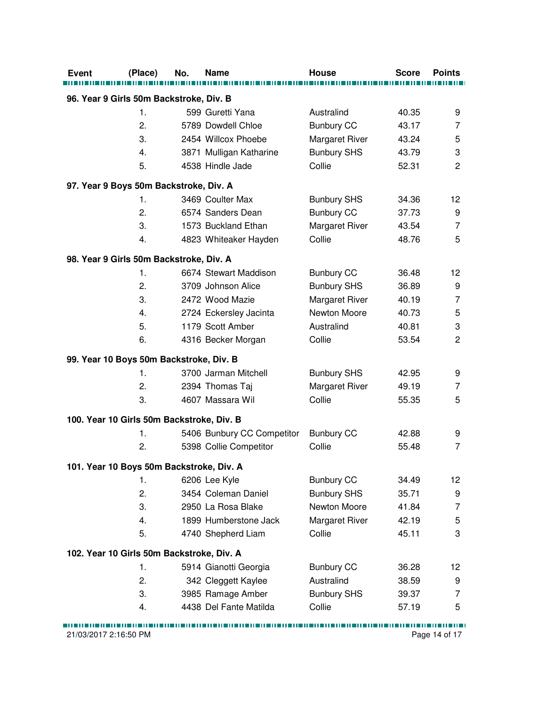| <b>Event</b>                            | (Place)                                   | No. | Name                       | <b>House</b>       | <b>Score</b> | <b>Points</b>  |  |
|-----------------------------------------|-------------------------------------------|-----|----------------------------|--------------------|--------------|----------------|--|
| 96. Year 9 Girls 50m Backstroke, Div. B |                                           |     |                            |                    |              |                |  |
|                                         | 1.                                        |     | 599 Guretti Yana           | Australind         | 40.35        | 9              |  |
|                                         | 2.                                        |     | 5789 Dowdell Chloe         | <b>Bunbury CC</b>  | 43.17        | 7              |  |
|                                         | 3.                                        |     | 2454 Willcox Phoebe        | Margaret River     | 43.24        | 5              |  |
|                                         | 4.                                        |     | 3871 Mulligan Katharine    | <b>Bunbury SHS</b> | 43.79        | 3              |  |
|                                         | 5.                                        |     | 4538 Hindle Jade           | Collie             | 52.31        | $\overline{2}$ |  |
|                                         | 97. Year 9 Boys 50m Backstroke, Div. A    |     |                            |                    |              |                |  |
|                                         | 1.                                        |     | 3469 Coulter Max           | <b>Bunbury SHS</b> | 34.36        | 12             |  |
|                                         | 2.                                        |     | 6574 Sanders Dean          | <b>Bunbury CC</b>  | 37.73        | 9              |  |
|                                         | 3.                                        |     | 1573 Buckland Ethan        | Margaret River     | 43.54        | $\overline{7}$ |  |
|                                         | 4.                                        |     | 4823 Whiteaker Hayden      | Collie             | 48.76        | 5              |  |
|                                         | 98. Year 9 Girls 50m Backstroke, Div. A   |     |                            |                    |              |                |  |
|                                         | 1.                                        |     | 6674 Stewart Maddison      | <b>Bunbury CC</b>  | 36.48        | 12             |  |
|                                         | 2.                                        |     | 3709 Johnson Alice         | <b>Bunbury SHS</b> | 36.89        | 9              |  |
|                                         | 3.                                        |     | 2472 Wood Mazie            | Margaret River     | 40.19        | 7              |  |
|                                         | 4.                                        |     | 2724 Eckersley Jacinta     | Newton Moore       | 40.73        | 5              |  |
|                                         | 5.                                        |     | 1179 Scott Amber           | Australind         | 40.81        | 3              |  |
|                                         | 6.                                        |     | 4316 Becker Morgan         | Collie             | 53.54        | $\overline{2}$ |  |
|                                         | 99. Year 10 Boys 50m Backstroke, Div. B   |     |                            |                    |              |                |  |
|                                         | 1.                                        |     | 3700 Jarman Mitchell       | <b>Bunbury SHS</b> | 42.95        | 9              |  |
|                                         | 2.                                        |     | 2394 Thomas Taj            | Margaret River     | 49.19        | 7              |  |
|                                         | 3.                                        |     | 4607 Massara Wil           | Collie             | 55.35        | 5              |  |
|                                         | 100. Year 10 Girls 50m Backstroke, Div. B |     |                            |                    |              |                |  |
|                                         | 1.                                        |     | 5406 Bunbury CC Competitor | <b>Bunbury CC</b>  | 42.88        | 9              |  |
|                                         | 2.                                        |     | 5398 Collie Competitor     | Collie             | 55.48        | $\overline{7}$ |  |
|                                         | 101. Year 10 Boys 50m Backstroke, Div. A  |     |                            |                    |              |                |  |
|                                         | 1.                                        |     | 6206 Lee Kyle              | <b>Bunbury CC</b>  | 34.49        | 12             |  |
|                                         | 2.                                        |     | 3454 Coleman Daniel        | <b>Bunbury SHS</b> | 35.71        | 9              |  |
|                                         | 3.                                        |     | 2950 La Rosa Blake         | Newton Moore       | 41.84        | 7              |  |
|                                         | 4.                                        |     | 1899 Humberstone Jack      | Margaret River     | 42.19        | 5              |  |
|                                         | 5.                                        |     | 4740 Shepherd Liam         | Collie             | 45.11        | 3              |  |
|                                         | 102. Year 10 Girls 50m Backstroke, Div. A |     |                            |                    |              |                |  |
|                                         | 1.                                        |     | 5914 Gianotti Georgia      | <b>Bunbury CC</b>  | 36.28        | 12             |  |
|                                         | 2.                                        |     | 342 Cleggett Kaylee        | Australind         | 38.59        | 9              |  |
|                                         | 3.                                        |     | 3985 Ramage Amber          | <b>Bunbury SHS</b> | 39.37        | 7              |  |
|                                         | 4.                                        |     | 4438 Del Fante Matilda     | Collie             | 57.19        | 5              |  |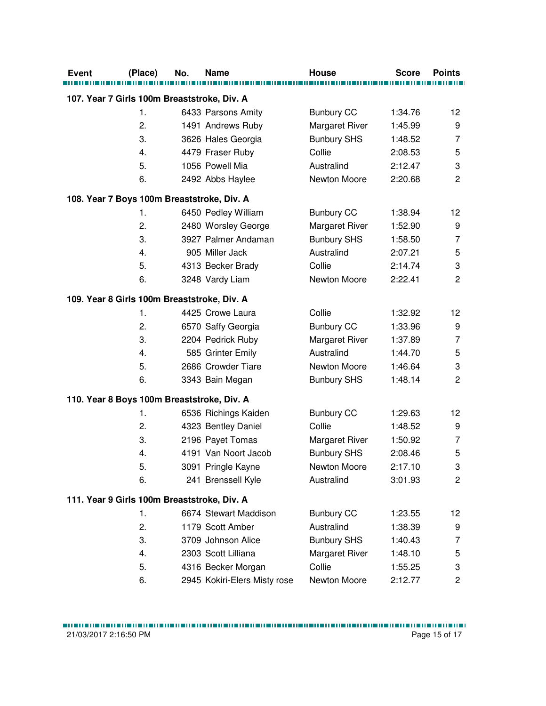| <b>Event</b>                                | (Place) | No. | <b>Name</b>                  | <b>House</b>       | <b>Score</b> | <b>Points</b>  |
|---------------------------------------------|---------|-----|------------------------------|--------------------|--------------|----------------|
| 107. Year 7 Girls 100m Breaststroke, Div. A |         |     |                              |                    |              |                |
|                                             | 1.      |     | 6433 Parsons Amity           | <b>Bunbury CC</b>  | 1:34.76      | 12             |
|                                             | 2.      |     | 1491 Andrews Ruby            | Margaret River     | 1:45.99      | 9              |
|                                             | 3.      |     | 3626 Hales Georgia           | <b>Bunbury SHS</b> | 1:48.52      | 7              |
|                                             | 4.      |     | 4479 Fraser Ruby             | Collie             | 2:08.53      | 5              |
|                                             | 5.      |     | 1056 Powell Mia              | Australind         | 2:12.47      | 3              |
|                                             | 6.      |     | 2492 Abbs Haylee             | Newton Moore       | 2:20.68      | $\overline{2}$ |
| 108. Year 7 Boys 100m Breaststroke, Div. A  |         |     |                              |                    |              |                |
|                                             | 1.      |     | 6450 Pedley William          | <b>Bunbury CC</b>  | 1:38.94      | 12             |
|                                             | 2.      |     | 2480 Worsley George          | Margaret River     | 1:52.90      | 9              |
|                                             | 3.      |     | 3927 Palmer Andaman          | <b>Bunbury SHS</b> | 1:58.50      | 7              |
|                                             | 4.      |     | 905 Miller Jack              | Australind         | 2:07.21      | 5              |
|                                             | 5.      |     | 4313 Becker Brady            | Collie             | 2:14.74      | 3              |
|                                             | 6.      |     | 3248 Vardy Liam              | Newton Moore       | 2:22.41      | $\overline{c}$ |
| 109. Year 8 Girls 100m Breaststroke, Div. A |         |     |                              |                    |              |                |
|                                             | 1.      |     | 4425 Crowe Laura             | Collie             | 1:32.92      | 12             |
|                                             | 2.      |     | 6570 Saffy Georgia           | <b>Bunbury CC</b>  | 1:33.96      | 9              |
|                                             | 3.      |     | 2204 Pedrick Ruby            | Margaret River     | 1:37.89      | $\overline{7}$ |
|                                             | 4.      |     | 585 Grinter Emily            | Australind         | 1:44.70      | 5              |
|                                             | 5.      |     | 2686 Crowder Tiare           | Newton Moore       | 1:46.64      | 3              |
|                                             | 6.      |     | 3343 Bain Megan              | <b>Bunbury SHS</b> | 1:48.14      | $\overline{2}$ |
| 110. Year 8 Boys 100m Breaststroke, Div. A  |         |     |                              |                    |              |                |
|                                             | 1.      |     | 6536 Richings Kaiden         | <b>Bunbury CC</b>  | 1:29.63      | 12             |
|                                             | 2.      |     | 4323 Bentley Daniel          | Collie             | 1:48.52      | 9              |
|                                             | 3.      |     | 2196 Payet Tomas             | Margaret River     | 1:50.92      | $\overline{7}$ |
|                                             | 4.      |     | 4191 Van Noort Jacob         | <b>Bunbury SHS</b> | 2:08.46      | 5              |
|                                             | 5.      |     | 3091 Pringle Kayne           | Newton Moore       | 2:17.10      | 3              |
|                                             | 6.      |     | 241 Brenssell Kyle           | Australind         | 3:01.93      | $\overline{c}$ |
| 111. Year 9 Girls 100m Breaststroke, Div. A |         |     |                              |                    |              |                |
|                                             | 1.      |     | 6674 Stewart Maddison        | <b>Bunbury CC</b>  | 1:23.55      | 12             |
|                                             | 2.      |     | 1179 Scott Amber             | Australind         | 1:38.39      | 9              |
|                                             | 3.      |     | 3709 Johnson Alice           | <b>Bunbury SHS</b> | 1:40.43      | 7              |
|                                             | 4.      |     | 2303 Scott Lilliana          | Margaret River     | 1:48.10      | 5              |
|                                             | 5.      |     | 4316 Becker Morgan           | Collie             | 1:55.25      | 3              |
|                                             | 6.      |     | 2945 Kokiri-Elers Misty rose | Newton Moore       | 2:12.77      | $\overline{c}$ |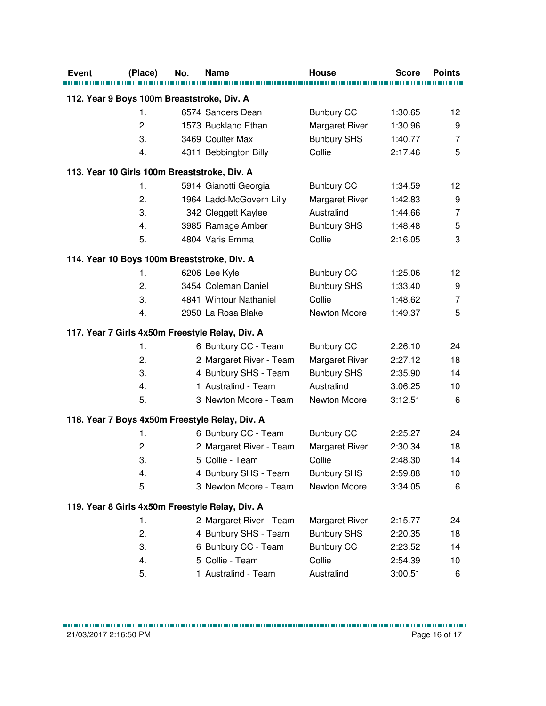| <b>Event</b>                                 | (Place) | No. | <b>Name</b>                                     | <b>House</b>          | <b>Score</b> | <b>Points</b>   |  |
|----------------------------------------------|---------|-----|-------------------------------------------------|-----------------------|--------------|-----------------|--|
|                                              |         |     |                                                 |                       |              |                 |  |
| 112. Year 9 Boys 100m Breaststroke, Div. A   |         |     |                                                 |                       |              |                 |  |
|                                              | 1.      |     | 6574 Sanders Dean                               | <b>Bunbury CC</b>     | 1:30.65      | 12 <sup>°</sup> |  |
|                                              | 2.      |     | 1573 Buckland Ethan                             | Margaret River        | 1:30.96      | 9               |  |
|                                              | 3.      |     | 3469 Coulter Max                                | <b>Bunbury SHS</b>    | 1:40.77      | $\overline{7}$  |  |
|                                              | 4.      |     | 4311 Bebbington Billy                           | Collie                | 2:17.46      | 5               |  |
| 113. Year 10 Girls 100m Breaststroke, Div. A |         |     |                                                 |                       |              |                 |  |
|                                              | 1.      |     | 5914 Gianotti Georgia                           | <b>Bunbury CC</b>     | 1:34.59      | 12              |  |
|                                              | 2.      |     | 1964 Ladd-McGovern Lilly                        | Margaret River        | 1:42.83      | 9               |  |
|                                              | 3.      |     | 342 Cleggett Kaylee                             | Australind            | 1:44.66      | $\overline{7}$  |  |
|                                              | 4.      |     | 3985 Ramage Amber                               | <b>Bunbury SHS</b>    | 1:48.48      | 5               |  |
|                                              | 5.      |     | 4804 Varis Emma                                 | Collie                | 2:16.05      | 3               |  |
| 114. Year 10 Boys 100m Breaststroke, Div. A  |         |     |                                                 |                       |              |                 |  |
|                                              | 1.      |     | 6206 Lee Kyle                                   | <b>Bunbury CC</b>     | 1:25.06      | 12 <sup>°</sup> |  |
|                                              | 2.      |     | 3454 Coleman Daniel                             | <b>Bunbury SHS</b>    | 1:33.40      | 9               |  |
|                                              | 3.      |     | 4841 Wintour Nathaniel                          | Collie                | 1:48.62      | 7               |  |
|                                              | 4.      |     | 2950 La Rosa Blake                              | Newton Moore          | 1:49.37      | 5               |  |
|                                              |         |     | 117. Year 7 Girls 4x50m Freestyle Relay, Div. A |                       |              |                 |  |
|                                              | 1.      |     | 6 Bunbury CC - Team                             | <b>Bunbury CC</b>     | 2:26.10      | 24              |  |
|                                              | 2.      |     | 2 Margaret River - Team                         | Margaret River        | 2:27.12      | 18              |  |
|                                              | 3.      |     | 4 Bunbury SHS - Team                            | <b>Bunbury SHS</b>    | 2:35.90      | 14              |  |
|                                              | 4.      |     | 1 Australind - Team                             | Australind            | 3:06.25      | 10              |  |
|                                              | 5.      |     | 3 Newton Moore - Team                           | Newton Moore          | 3:12.51      | 6               |  |
|                                              |         |     | 118. Year 7 Boys 4x50m Freestyle Relay, Div. A  |                       |              |                 |  |
|                                              | 1.      |     | 6 Bunbury CC - Team                             | <b>Bunbury CC</b>     | 2:25.27      | 24              |  |
|                                              | 2.      |     | 2 Margaret River - Team                         | Margaret River        | 2:30.34      | 18              |  |
|                                              | 3.      |     | 5 Collie - Team                                 | Collie                | 2:48.30      | 14              |  |
|                                              | 4.      |     | 4 Bunbury SHS - Team                            | <b>Bunbury SHS</b>    | 2:59.88      | 10              |  |
|                                              | 5.      |     | 3 Newton Moore - Team                           | Newton Moore          | 3:34.05      | 6               |  |
|                                              |         |     | 119. Year 8 Girls 4x50m Freestyle Relay, Div. A |                       |              |                 |  |
|                                              | 1.      |     | 2 Margaret River - Team                         | <b>Margaret River</b> | 2:15.77      | 24              |  |
|                                              | 2.      |     | 4 Bunbury SHS - Team                            | <b>Bunbury SHS</b>    | 2:20.35      | 18              |  |
|                                              | 3.      |     | 6 Bunbury CC - Team                             | <b>Bunbury CC</b>     | 2:23.52      | 14              |  |
|                                              | 4.      |     | 5 Collie - Team                                 | Collie                | 2:54.39      | 10              |  |
|                                              | 5.      |     | 1 Australind - Team                             | Australind            | 3:00.51      | 6               |  |